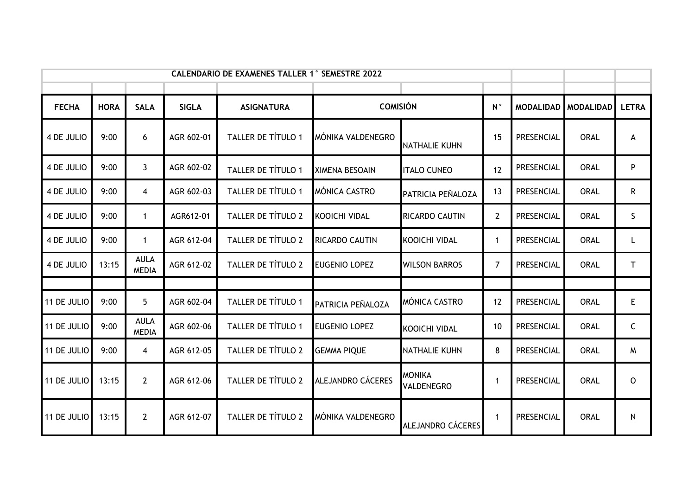| <b>CALENDARIO DE EXAMENES TALLER 1° SEMESTRE 2022</b> |             |                             |              |                           |                       |                                    |                |                  |                  |              |
|-------------------------------------------------------|-------------|-----------------------------|--------------|---------------------------|-----------------------|------------------------------------|----------------|------------------|------------------|--------------|
|                                                       |             |                             |              |                           |                       |                                    |                |                  |                  |              |
| <b>FECHA</b>                                          | <b>HORA</b> | <b>SALA</b>                 | <b>SIGLA</b> | <b>ASIGNATURA</b>         | <b>COMISIÓN</b>       |                                    | $N^{\circ}$    | <b>MODALIDAD</b> | <b>MODALIDAD</b> | <b>LETRA</b> |
| 4 DE JULIO                                            | 9:00        | 6                           | AGR 602-01   | <b>TALLER DE TÍTULO 1</b> | MÓNIKA VALDENEGRO     | <b>NATHALIE KUHN</b>               | 15             | PRESENCIAL       | <b>ORAL</b>      | A            |
| 4 DE JULIO                                            | 9:00        | $\mathbf{3}$                | AGR 602-02   | TALLER DE TÍTULO 1        | <b>XIMENA BESOAIN</b> | <b>ITALO CUNEO</b>                 | 12             | PRESENCIAL       | <b>ORAL</b>      | P            |
| 4 DE JULIO                                            | 9:00        | $\overline{4}$              | AGR 602-03   | TALLER DE TÍTULO 1        | <b>MÓNICA CASTRO</b>  | PATRICIA PEÑALOZA                  | 13             | PRESENCIAL       | <b>ORAL</b>      | R            |
| 4 DE JULIO                                            | 9:00        | $\mathbf{1}$                | AGR612-01    | TALLER DE TÍTULO 2        | <b>KOOICHI VIDAL</b>  | RICARDO CAUTIN                     | $2^{\circ}$    | PRESENCIAL       | <b>ORAL</b>      | S            |
| 4 DE JULIO                                            | 9:00        | $\mathbf{1}$                | AGR 612-04   | TALLER DE TÍTULO 2        | RICARDO CAUTIN        | <b>KOOICHI VIDAL</b>               | $\mathbf{1}$   | PRESENCIAL       | <b>ORAL</b>      | L            |
| 4 DE JULIO                                            | 13:15       | <b>AULA</b><br><b>MEDIA</b> | AGR 612-02   | <b>TALLER DE TÍTULO 2</b> | <b>EUGENIO LOPEZ</b>  | <b>WILSON BARROS</b>               | $\overline{7}$ | PRESENCIAL       | <b>ORAL</b>      | $\mathsf{T}$ |
|                                                       |             |                             |              |                           |                       |                                    |                |                  |                  |              |
| 11 DE JULIO                                           | 9:00        | 5 <sub>1</sub>              | AGR 602-04   | TALLER DE TÍTULO 1        | PATRICIA PEÑALOZA     | MÓNICA CASTRO                      | 12             | PRESENCIAL       | <b>ORAL</b>      | E            |
| 11 DE JULIO                                           | 9:00        | <b>AULA</b><br><b>MEDIA</b> | AGR 602-06   | TALLER DE TÍTULO 1        | <b>EUGENIO LOPEZ</b>  | <b>KOOICHI VIDAL</b>               | 10             | PRESENCIAL       | ORAL             | $\mathsf{C}$ |
| 11 DE JULIO                                           | 9:00        | $\overline{4}$              | AGR 612-05   | TALLER DE TÍTULO 2        | <b>GEMMA PIQUE</b>    | <b>NATHALIE KUHN</b>               | 8              | PRESENCIAL       | <b>ORAL</b>      | M            |
| 11 DE JULIO                                           | 13:15       | $\overline{2}$              | AGR 612-06   | TALLER DE TÍTULO 2        | ALEJANDRO CÁCERES     | <b>MONIKA</b><br><b>VALDENEGRO</b> | $\mathbf{1}$   | PRESENCIAL       | <b>ORAL</b>      | $\mathsf{O}$ |
| 11 DE JULIO                                           | 13:15       | $2^{\circ}$                 | AGR 612-07   | TALLER DE TÍTULO 2        | MÓNIKA VALDENEGRO     | ALEJANDRO CÁCERES                  | $\mathbf{1}$   | PRESENCIAL       | <b>ORAL</b>      | N            |